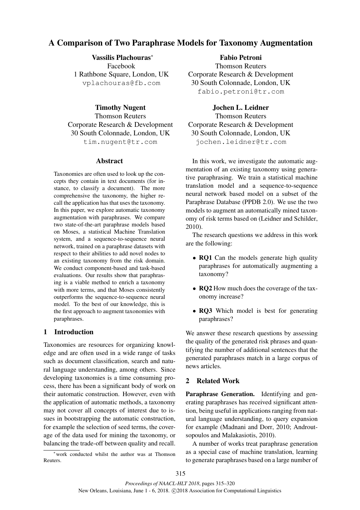# A Comparison of Two Paraphrase Models for Taxonomy Augmentation

Vassilis Plachouras<sup>∗</sup> Facebook 1 Rathbone Square, London, UK vplachouras@fb.com

# Timothy Nugent

Thomson Reuters Corporate Research & Development 30 South Colonnade, London, UK tim.nugent@tr.com

#### Abstract

Taxonomies are often used to look up the concepts they contain in text documents (for instance, to classify a document). The more comprehensive the taxonomy, the higher recall the application has that uses the taxonomy. In this paper, we explore automatic taxonomy augmentation with paraphrases. We compare two state-of-the-art paraphrase models based on Moses, a statistical Machine Translation system, and a sequence-to-sequence neural network, trained on a paraphrase datasets with respect to their abilities to add novel nodes to an existing taxonomy from the risk domain. We conduct component-based and task-based evaluations. Our results show that paraphrasing is a viable method to enrich a taxonomy with more terms, and that Moses consistently outperforms the sequence-to-sequence neural model. To the best of our knowledge, this is the first approach to augment taxonomies with paraphrases.

# 1 Introduction

Taxonomies are resources for organizing knowledge and are often used in a wide range of tasks such as document classification, search and natural language understanding, among others. Since developing taxonomies is a time consuming process, there has been a significant body of work on their automatic construction. However, even with the application of automatic methods, a taxonomy may not cover all concepts of interest due to issues in bootstrapping the automatic construction, for example the selection of seed terms, the coverage of the data used for mining the taxonomy, or balancing the trade-off between quality and recall.

<sup>∗</sup>work conducted whilst the author was at Thomson Reuters.

### Fabio Petroni

Thomson Reuters Corporate Research & Development 30 South Colonnade, London, UK fabio.petroni@tr.com

### Jochen L. Leidner

Thomson Reuters Corporate Research & Development 30 South Colonnade, London, UK jochen.leidner@tr.com

In this work, we investigate the automatic augmentation of an existing taxonomy using generative paraphrasing. We train a statistical machine translation model and a sequence-to-sequence neural network based model on a subset of the Paraphrase Database (PPDB 2.0). We use the two models to augment an automatically mined taxonomy of risk terms based on (Leidner and Schilder, 2010).

The research questions we address in this work are the following:

- RQ1 Can the models generate high quality paraphrases for automatically augmenting a taxonomy?
- **RQ2** How much does the coverage of the taxonomy increase?
- RQ3 Which model is best for generating paraphrases?

We answer these research questions by assessing the quality of the generated risk phrases and quantifying the number of additional sentences that the generated paraphrases match in a large corpus of news articles.

### 2 Related Work

Paraphrase Generation. Identifying and generating paraphrases has received significant attention, being useful in applications ranging from natural language understanding, to query expansion for example (Madnani and Dorr, 2010; Androutsopoulos and Malakasiotis, 2010).

A number of works treat paraphrase generation as a special case of machine translation, learning to generate paraphrases based on a large number of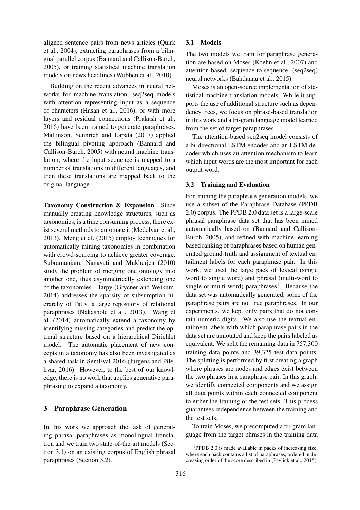aligned sentence pairs from news articles (Quirk et al., 2004), extracting paraphrases from a bilingual parallel corpus (Bannard and Callison-Burch, 2005), or training statistical machine translation models on news headlines (Wubben et al., 2010).

Building on the recent advances in neural networks for machine translation, seq2seq models with attention representing input as a sequence of characters (Hasan et al., 2016), or with more layers and residual connections (Prakash et al., 2016) have been trained to generate paraphrases. Mallinson, Sennrich and Lapata (2017) applied the bilingual pivoting approach (Bannard and Callison-Burch, 2005) with neural machine translation, where the input sequence is mapped to a number of translations in different languages, and then these translations are mapped back to the original language.

Taxonomy Construction & Expansion Since manually creating knowledge structures, such as taxonomies, is a time consuming process, there exist several methods to automate it (Medelyan et al., 2013). Meng et al. (2015) employ techniques for automatically mining taxonomies in combination with crowd-sourcing to achieve greater coverage. Subramaniam, Nanavati and Mukherjea (2010) study the problem of merging one ontology into another one, thus asymmetrically extending one of the taxonomies. Harpy (Grycner and Weikum, 2014) addresses the sparsity of subsumption hierarchy of Patty, a large repository of relational paraphrases (Nakashole et al., 2013). Wang et al. (2014) automatically extend a taxonomy by identifying missing categories and predict the optimal structure based on a hierarchical Dirichlet model. The automatic placement of new concepts in a taxonomy has also been investigated as a shared task in SemEval 2016 (Jurgens and Pilehvar, 2016). However, to the best of our knowledge, there is no work that applies generative paraphrasing to expand a taxonomy.

### 3 Paraphrase Generation

In this work we approach the task of generating phrasal paraphrases as monolingual translation and we train two state-of-the-art models (Section 3.1) on an existing corpus of English phrasal paraphrases (Section 3.2).

#### 3.1 Models

The two models we train for paraphrase generation are based on Moses (Koehn et al., 2007) and attention-based sequence-to-sequence (seq2seq) neural networks (Bahdanau et al., 2015).

Moses is an open-source implementation of statistical machine translation models. While it supports the use of additional structure such as dependency trees, we focus on phrase-based translation in this work and a tri-gram language model learned from the set of target paraphrases.

The attention-based seq2seq model consists of a bi-directional LSTM encoder and an LSTM decoder which uses an attention mechanism to learn which input words are the most important for each output word.

#### 3.2 Training and Evaluation

For training the paraphrase generation models, we use a subset of the Paraphrase Database (PPDB 2.0) corpus. The PPDB 2.0 data set is a large-scale phrasal paraphrase data set that has been mined automatically based on (Bannard and Callison-Burch, 2005), and refined with machine learning based ranking of paraphrases based on human generated ground-truth and assignment of textual entailment labels for each paraphrase pair. In this work, we used the large pack of lexical (single word to single word) and phrasal (multi-word to single or multi-word) paraphrases<sup>1</sup>. Because the data set was automatically generated, some of the paraphrase pairs are not true paraphrases. In our experiments, we kept only pairs that do not contain numeric digits. We also use the textual entailment labels with which paraphrase pairs in the data set are annotated and keep the pairs labeled as equivalent. We split the remaining data in 757,300 training data points and 39,325 test data points. The splitting is performed by first creating a graph where phrases are nodes and edges exist between the two phrases in a paraphrase pair. In this graph, we identify connected components and we assign all data points within each connected component to either the training or the test sets. This process guarantees independence between the training and the test sets.

To train Moses, we precomputed a tri-gram language from the target phrases in the training data

<sup>&</sup>lt;sup>1</sup>PPDB 2.0 is made available in packs of increasing size, where each pack contains a list of paraphrases, ordered in decreasing order of the score described in (Pavlick et al., 2015).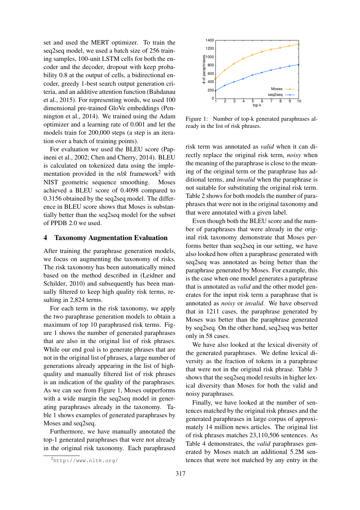set and used the MERT optimizer. To train the seq2seq model, we used a batch size of 256 training samples, 100-unit LSTM cells for both the encoder and the decoder, dropout with keep probability 0.8 at the output of cells, a bidirectional encoder, greedy 1-best search output generation criteria, and an additive attention function (Bahdanau et al., 2015). For representing words, we used 100 dimensional pre-trained GloVe embeddings (Pennington et al., 2014). We trained using the Adam optimizer and a learning rate of 0.001 and let the models train for 200,000 steps (a step is an iteration over a batch of training points).

For evaluation we used the BLEU score (Papineni et al., 2002; Chen and Cherry, 2014). BLEU is calculated on tokenized data using the implementation provided in the *nltk* framework<sup>2</sup> with NIST geometric sequence smoothing. Moses achieved a BLEU score of 0.4098 compared to 0.3156 obtained by the seq2seq model. The difference in BLEU score shows that Moses is substantially better than the seq2seq model for the subset of PPDB 2.0 we used.

#### 4 Taxonomy Augmentation Evaluation

After training the paraphrase generation models, we focus on augmenting the taxonomy of risks. The risk taxonomy has been automatically mined based on the method described in (Leidner and Schilder, 2010) and subsequently has been manually filtered to keep high quality risk terms, resulting in 2,824 terms.

For each term in the risk taxonomy, we apply the two paraphrase generation models to obtain a maximum of top 10 paraphrased risk terms. Figure 1 shows the number of generated paraphrases that are also in the original list of risk phrases. While our end goal is to generate phrases that are not in the original list of phrases, a large number of generations already appearing in the list of highquality and manually filtered list of risk phrases is an indication of the quality of the paraphrases. As we can see from Figure 1, Moses outperforms with a wide margin the seq2seq model in generating paraphrases already in the taxonomy. Table 1 shows examples of generated paraphrases by Moses and seq2seq.

Furthermore, we have manually annotated the top-1 generated paraphrases that were not already in the original risk taxonomy. Each paraphrased



Figure 1: Number of top-k generated paraphrases already in the list of risk phrases.

risk term was annotated as *valid* when it can directly replace the original risk term, *noisy* when the meaning of the paraphrase is close to the meaning of the original term or the paraphrase has additional terms, and *invalid* when the paraphrase is not suitable for substituting the original risk term. Table 2 shows for both models the number of paraphrases that were not in the original taxonomy and that were annotated with a given label.

Even though both the BLEU score and the number of paraphrases that were already in the original risk taxonomy demonstrate that Moses performs better than seq2seq in our setting, we have also looked how often a paraphrase generated with seq2seq was annotated as being better than the paraphrase generated by Moses. For example, this is the case when one model generates a paraphrase that is annotated as *valid* and the other model generates for the input risk term a paraphrase that is annotated as *noisy* or *invalid*. We have observed that in 1211 cases, the paraphrase generated by Moses was better than the paraphrase generated by seq2seq. On the other hand, seq2seq was better only in 58 cases.

We have also looked at the lexical diversity of the generated paraphrases. We define lexical diversity as the fraction of tokens in a paraphrase that were not in the original risk phrase. Table 3 shows that the seq2seq model results in higher lexical diversity than Moses for both the valid and noisy paraphrases.

Finally, we have looked at the number of sentences matched by the original risk phrases and the generated paraphrases in large corpus of approximately 14 million news articles. The original list of risk phrases matches 23,110,506 sentences. As Table 4 demonstrates, the *valid* paraphrases generated by Moses match an additional 5.2M sentences that were not matched by any entry in the

<sup>2</sup>http://www.nltk.org/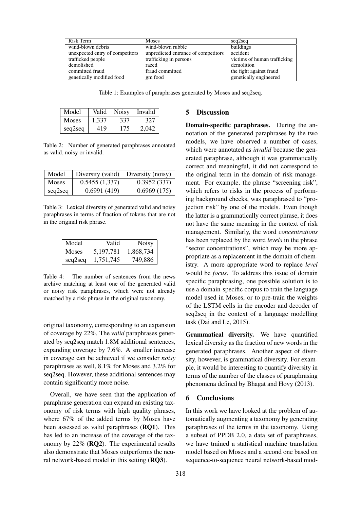| Risk Term                       | <b>Moses</b>                        | seq2seq                      |
|---------------------------------|-------------------------------------|------------------------------|
| wind-blown debris               | wind-blown rubble                   | buildings                    |
| unexpected entry of competitors | unpredicted entrance of competitors | accident                     |
| trafficked people               | trafficking in persons              | victims of human trafficking |
| demolished                      | razed                               | demolition                   |
| committed fraud                 | fraud committed                     | the fight against fraud      |
| genetically modified food       | gm food                             | genetically engineered       |

Table 1: Examples of paraphrases generated by Moses and seq2seq.

| Model   | Valid | <b>Noisy</b> | Invalid |
|---------|-------|--------------|---------|
| Moses   | 1.337 | 337          | 327     |
| seq2seq | 419   | 175          | 2.042   |

Table 2: Number of generated paraphrases annotated as valid, noisy or invalid.

| Model        | Diversity (valid) | Diversity (noisy) |
|--------------|-------------------|-------------------|
| <b>Moses</b> | 0.5455(1,337)     | 0.3952(337)       |
| seq2seq      | 0.6991(419)       | 0.6969(175)       |

Table 3: Lexical diversity of generated valid and noisy paraphrases in terms of fraction of tokens that are not in the original risk phrase.

| Model        | Valid       | <b>Noisy</b> |
|--------------|-------------|--------------|
| <b>Moses</b> | 5, 197, 781 | 1,868,734    |
| seq2seq      | 1,751,745   | 749,886      |

Table 4: The number of sentences from the news archive matching at least one of the generated valid or noisy risk paraphrases, which were not already matched by a risk phrase in the original taxonomy.

original taxonomy, corresponding to an expansion of coverage by 22%. The *valid* paraphrases generated by seq2seq match 1.8M additional sentences, expanding coverage by 7.6%. A smaller increase in coverage can be achieved if we consider *noisy* paraphrases as well, 8.1% for Moses and 3.2% for seq2seq. However, these additional sentences may contain significantly more noise.

Overall, we have seen that the application of paraphrase generation can expand an existing taxonomy of risk terms with high quality phrases, where 67% of the added terms by Moses have been assessed as valid paraphrases (RQ1). This has led to an increase of the coverage of the taxonomy by 22% (RQ2). The experimental results also demonstrate that Moses outperforms the neural network-based model in this setting (RQ3).

### 5 Discussion

Domain-specific paraphrases. During the annotation of the generated paraphrases by the two models, we have observed a number of cases, which were annotated as *invalid* because the generated paraphrase, although it was grammatically correct and meaningful, it did not correspond to the original term in the domain of risk management. For example, the phrase "screening risk", which refers to risks in the process of performing background checks, was paraphrased to "projection risk" by one of the models. Even though the latter is a grammatically correct phrase, it does not have the same meaning in the context of risk management. Similarly, the word *concentrations* has been replaced by the word *levels* in the phrase "sector concentrations", which may be more appropriate as a replacement in the domain of chemistry. A more appropriate word to replace *level* would be *focus*. To address this issue of domain specific paraphrasing, one possible solution is to use a domain-specific corpus to train the language model used in Moses, or to pre-train the weights of the LSTM cells in the encoder and decoder of seq2seq in the context of a language modelling task (Dai and Le, 2015).

Grammatical diversity. We have quantified lexical diversity as the fraction of new words in the generated paraphrases. Another aspect of diversity, however, is grammatical diversity. For example, it would be interesting to quantify diversity in terms of the number of the classes of paraphrasing phenomena defined by Bhagat and Hovy (2013).

#### 6 Conclusions

In this work we have looked at the problem of automatically augmenting a taxonomy by generating paraphrases of the terms in the taxonomy. Using a subset of PPDB 2.0, a data set of paraphrases, we have trained a statistical machine translation model based on Moses and a second one based on sequence-to-sequence neural network-based mod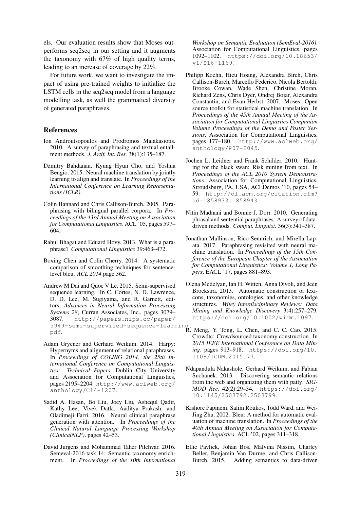els. Our evaluation results show that Moses outperforms seq2seq in our setting and it augments the taxonomy with 67% of high quality terms, leading to an increase of coverage by 22%.

For future work, we want to investigate the impact of using pre-trained weights to initialize the LSTM cells in the seq2seq model from a language modelling task, as well the grammatical diversity of generated paraphrases.

#### References

- Ion Androutsopoulos and Prodromos Malakasiotis. 2010. A survey of paraphrasing and textual entailment methods. *J. Artif. Int. Res.* 38(1):135–187.
- Dzmitry Bahdanau, Kyung Hyun Cho, and Yoshua Bengio. 2015. Neural machine translation by jointly learning to align and translate. In *Proceedings of the International Conference on Learning Representations (ICLR)*.
- Colin Bannard and Chris Callison-Burch. 2005. Paraphrasing with bilingual parallel corpora. In *Proceedings of the 43rd Annual Meeting on Association for Computational Linguistics*. ACL '05, pages 597– 604.
- Rahul Bhagat and Eduard Hovy. 2013. What is a paraphrase? *Computational Linguistics* 39:463–472.
- Boxing Chen and Colin Cherry. 2014. A systematic comparison of smoothing techniques for sentencelevel bleu. *ACL 2014* page 362.
- Andrew M Dai and Quoc V Le. 2015. Semi-supervised sequence learning. In C. Cortes, N. D. Lawrence, D. D. Lee, M. Sugiyama, and R. Garnett, editors, *Advances in Neural Information Processing Systems 28*, Curran Associates, Inc., pages 3079– 3087. http://papers.nips.cc/paper/ 5949-semi-supervised-sequence-learning.
- Adam Grycner and Gerhard Weikum. 2014. Harpy: Hypernyms and alignment of relational paraphrases. In *Proceedings of COLING 2014, the 25th International Conference on Computational Linguistics: Technical Papers*. Dublin City University and Association for Computational Linguistics, pages 2195–2204. http://www.aclweb.org/ anthology/C14-1207.
- Sadid A. Hasan, Bo Liu, Joey Liu, Ashequl Qadir, Kathy Lee, Vivek Datla, Aaditya Prakash, and Oladimeji Farri. 2016. Neural clinical paraphrase generation with attention. In *Proceedings of the Clinical Natural Language Processing Workshop (ClinicalNLP)*. pages 42–53.
- David Jurgens and Mohammad Taher Pilehvar. 2016. Semeval-2016 task 14: Semantic taxonomy enrichment. In *Proceedings of the 10th International*

*Workshop on Semantic Evaluation (SemEval-2016)*. Association for Computational Linguistics, pages 1092–1102. https://doi.org/10.18653/ v1/S16-1169.

- Philipp Koehn, Hieu Hoang, Alexandra Birch, Chris Callison-Burch, Marcello Federico, Nicola Bertoldi, Brooke Cowan, Wade Shen, Christine Moran, Richard Zens, Chris Dyer, Ondrej Bojar, Alexandra Constantin, and Evan Herbst. 2007. Moses: Open source toolkit for statistical machine translation. In *Proceedings of the 45th Annual Meeting of the Association for Computational Linguistics Companion Volume Proceedings of the Demo and Poster Sessions*. Association for Computational Linguistics, pages 177–180. http://www.aclweb.org/ anthology/P07-2045.
- Jochen L. Leidner and Frank Schilder. 2010. Hunting for the black swan: Risk mining from text. In *Proceedings of the ACL 2010 System Demonstrations*. Association for Computational Linguistics, Stroudsburg, PA, USA, ACLDemos '10, pages 54– 59. http://dl.acm.org/citation.cfm? id=1858933.1858943.
- Nitin Madnani and Bonnie J. Dorr. 2010. Generating phrasal and sentential paraphrases: A survey of datadriven methods. *Comput. Linguist.* 36(3):341–387.
- Jonathan Mallinson, Rico Sennrich, and Mirella Lapata. 2017. Paraphrasing revisited with neural machine translation. In *Proceedings of the 15th Conference of the European Chapter of the Association for Computational Linguistics: Volume 1, Long Papers*. EACL '17, pages 881–893.
- Olena Medelyan, Ian H. Witten, Anna Divoli, and Jeen Broekstra. 2013. Automatic construction of lexicons, taxonomies, ontologies, and other knowledge structures. *Wiley Interdisciplinary Reviews: Data Mining and Knowledge Discovery* 3(4):257–279. https://doi.org/10.1002/widm.1097.
- pdf. R. Meng, Y. Tong, L. Chen, and C. C. Cao. 2015. Crowdtc: Crowdsourced taxonomy construction. In *2015 IEEE International Conference on Data Mining*. pages 913–918. https://doi.org/10. 1109/ICDM.2015.77.
	- Ndapandula Nakashole, Gerhard Weikum, and Fabian Suchanek. 2013. Discovering semantic relations from the web and organizing them with patty. *SIG-MOD Rec.* 42(2):29–34. https://doi.org/ 10.1145/2503792.2503799.
	- Kishore Papineni, Salim Roukos, Todd Ward, and Wei-Jing Zhu. 2002. Bleu: A method for automatic evaluation of machine translation. In *Proceedings of the 40th Annual Meeting on Association for Computational Linguistics*. ACL '02, pages 311–318.
	- Ellie Pavlick, Johan Bos, Malvina Nissim, Charley Beller, Benjamin Van Durme, and Chris Callison-Burch. 2015. Adding semantics to data-driven